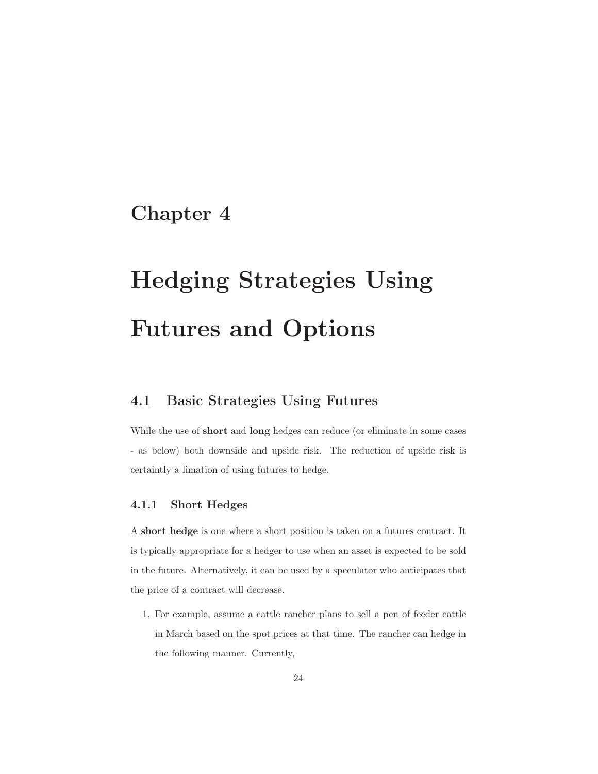## **Chapter 4**

# **Hedging Strategies Using Futures and Options**

## **4.1 Basic Strategies Using Futures**

While the use of **short** and **long** hedges can reduce (or eliminate in some cases - as below) both downside and upside risk. The reduction of upside risk is certaintly a limation of using futures to hedge.

## **4.1.1 Short Hedges**

A **short hedge** is one where a short position is taken on a futures contract. It is typically appropriate for a hedger to use when an asset is expected to be sold in the future. Alternatively, it can be used by a speculator who anticipates that the price of a contract will decrease.

1. For example, assume a cattle rancher plans to sell a pen of feeder cattle in March based on the spot prices at that time. The rancher can hedge in the following manner. Currently,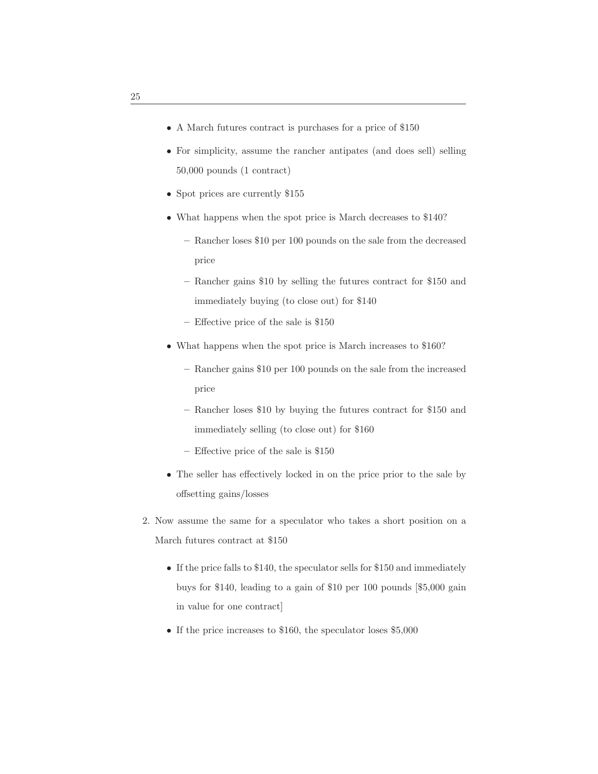- A March futures contract is purchases for a price of \$150
- For simplicity, assume the rancher antipates (and does sell) selling 50,000 pounds (1 contract)
- Spot prices are currently \$155
- What happens when the spot price is March decreases to \$140?
	- **–** Rancher loses \$10 per 100 pounds on the sale from the decreased price
	- **–** Rancher gains \$10 by selling the futures contract for \$150 and immediately buying (to close out) for \$140
	- **–** Effective price of the sale is \$150
- What happens when the spot price is March increases to \$160?
	- **–** Rancher gains \$10 per 100 pounds on the sale from the increased price
	- **–** Rancher loses \$10 by buying the futures contract for \$150 and immediately selling (to close out) for \$160
	- **–** Effective price of the sale is \$150
- The seller has effectively locked in on the price prior to the sale by offsetting gains/losses
- 2. Now assume the same for a speculator who takes a short position on a March futures contract at \$150
	- If the price falls to \$140, the speculator sells for \$150 and immediately buys for \$140, leading to a gain of \$10 per 100 pounds [\$5,000 gain in value for one contract]
	- If the price increases to \$160, the speculator loses \$5,000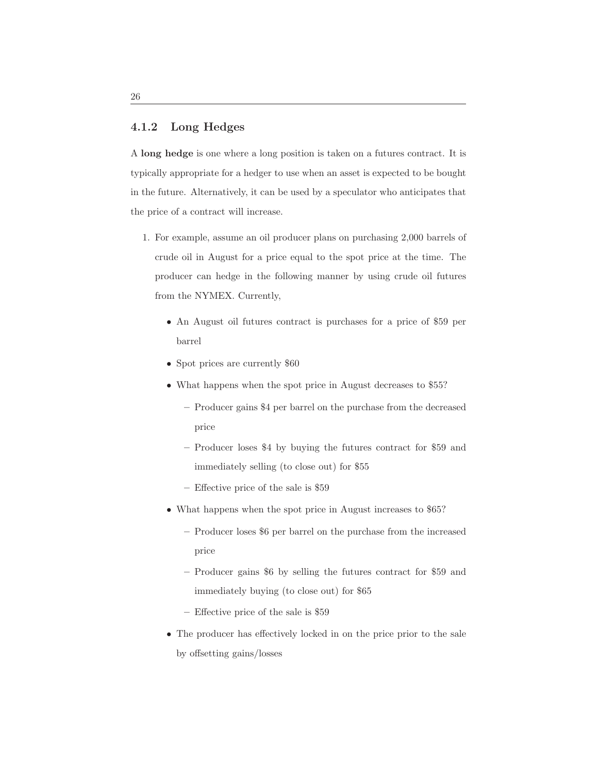#### **4.1.2 Long Hedges**

A **long hedge** is one where a long position is taken on a futures contract. It is typically appropriate for a hedger to use when an asset is expected to be bought in the future. Alternatively, it can be used by a speculator who anticipates that the price of a contract will increase.

- 1. For example, assume an oil producer plans on purchasing 2,000 barrels of crude oil in August for a price equal to the spot price at the time. The producer can hedge in the following manner by using crude oil futures from the NYMEX. Currently,
	- An August oil futures contract is purchases for a price of \$59 per barrel
	- Spot prices are currently \$60
	- What happens when the spot price in August decreases to \$55?
		- **–** Producer gains \$4 per barrel on the purchase from the decreased price
		- **–** Producer loses \$4 by buying the futures contract for \$59 and immediately selling (to close out) for \$55
		- **–** Effective price of the sale is \$59
	- What happens when the spot price in August increases to \$65?
		- **–** Producer loses \$6 per barrel on the purchase from the increased price
		- **–** Producer gains \$6 by selling the futures contract for \$59 and immediately buying (to close out) for \$65
		- **–** Effective price of the sale is \$59
	- The producer has effectively locked in on the price prior to the sale by offsetting gains/losses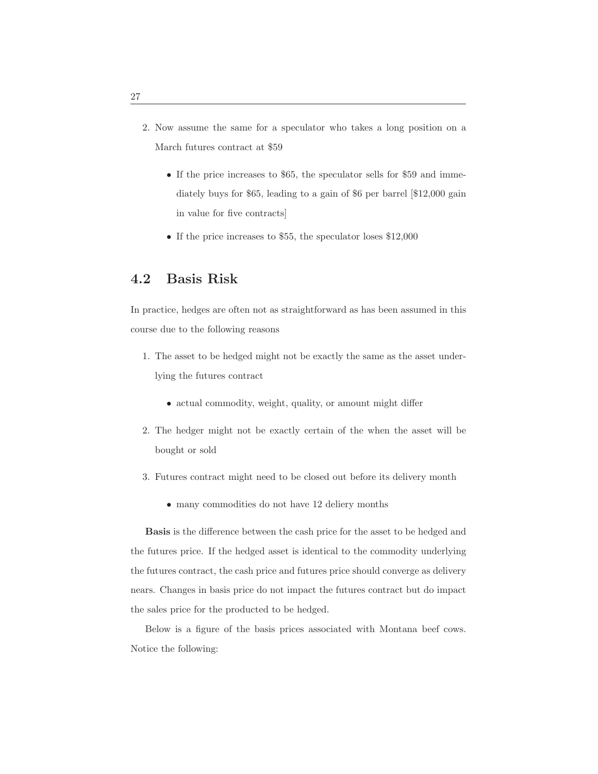- 2. Now assume the same for a speculator who takes a long position on a March futures contract at \$59
	- If the price increases to \$65, the speculator sells for \$59 and immediately buys for \$65, leading to a gain of \$6 per barrel [\$12,000 gain in value for five contracts]
	- If the price increases to \$55, the speculator loses \$12,000

## **4.2 Basis Risk**

In practice, hedges are often not as straightforward as has been assumed in this course due to the following reasons

- 1. The asset to be hedged might not be exactly the same as the asset underlying the futures contract
	- actual commodity, weight, quality, or amount might differ
- 2. The hedger might not be exactly certain of the when the asset will be bought or sold
- 3. Futures contract might need to be closed out before its delivery month
	- many commodities do not have 12 deliery months

**Basis** is the difference between the cash price for the asset to be hedged and the futures price. If the hedged asset is identical to the commodity underlying the futures contract, the cash price and futures price should converge as delivery nears. Changes in basis price do not impact the futures contract but do impact the sales price for the producted to be hedged.

Below is a figure of the basis prices associated with Montana beef cows. Notice the following: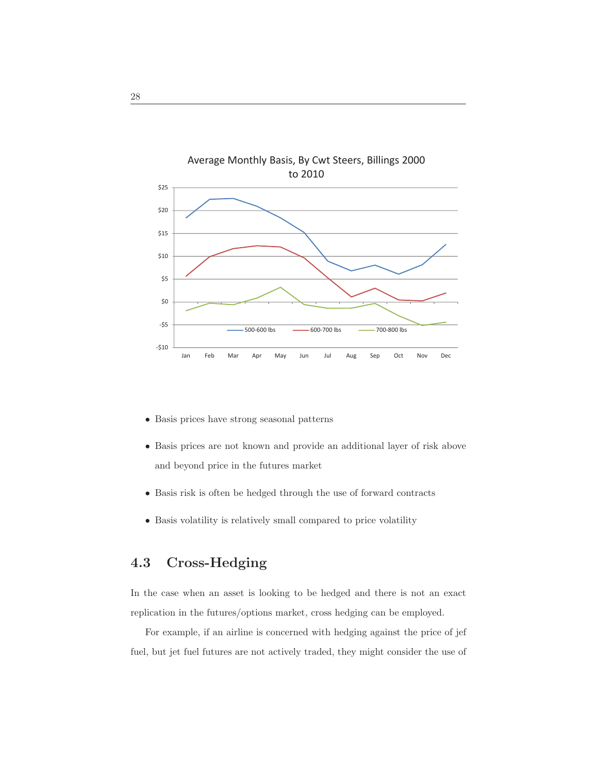

- Basis prices have strong seasonal patterns
- Basis prices are not known and provide an additional layer of risk above and beyond price in the futures market
- Basis risk is often be hedged through the use of forward contracts
- Basis volatility is relatively small compared to price volatility

## **4.3 Cross-Hedging**

In the case when an asset is looking to be hedged and there is not an exact replication in the futures/options market, cross hedging can be employed.

For example, if an airline is concerned with hedging against the price of jef fuel, but jet fuel futures are not actively traded, they might consider the use of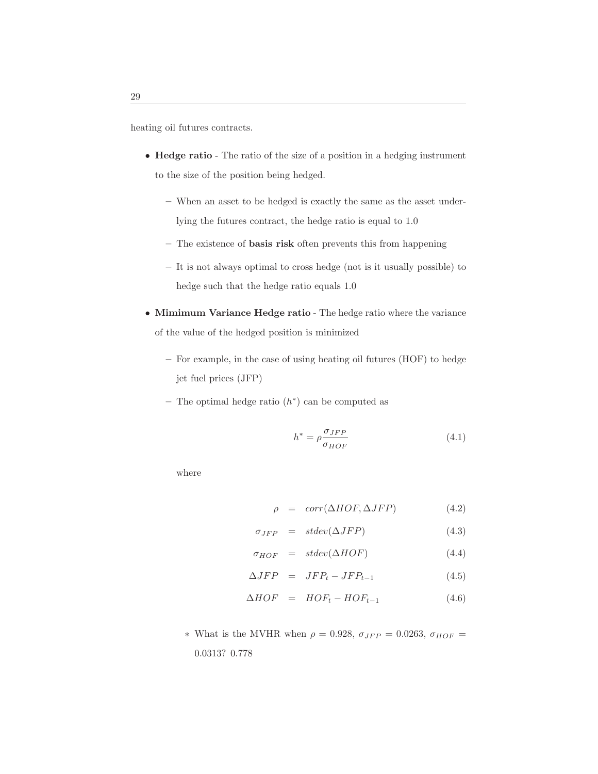heating oil futures contracts.

- **Hedge ratio** The ratio of the size of a position in a hedging instrument to the size of the position being hedged.
	- **–** When an asset to be hedged is exactly the same as the asset underlying the futures contract, the hedge ratio is equal to 1.0
	- **–** The existence of **basis risk** often prevents this from happening
	- **–** It is not always optimal to cross hedge (not is it usually possible) to hedge such that the hedge ratio equals 1.0
- **Mimimum Variance Hedge ratio** The hedge ratio where the variance of the value of the hedged position is minimized
	- **–** For example, in the case of using heating oil futures (HOF) to hedge jet fuel prices (JFP)
	- **–** The optimal hedge ratio (h∗) can be computed as

$$
h^* = \rho \frac{\sigma_{JFP}}{\sigma_{HOF}}
$$
\n(4.1)

where

$$
\rho = corr(\Delta HOF, \Delta JFP) \tag{4.2}
$$

$$
\sigma_{JFP} = stdev(\Delta JFP) \qquad (4.3)
$$

$$
\sigma_{HOF} = stdev(\Delta HOF) \tag{4.4}
$$

$$
\Delta JFP = JFP_t - JFP_{t-1} \tag{4.5}
$$

$$
\Delta HOF = HOF_t - HOF_{t-1} \tag{4.6}
$$

 $∗$  What is the MVHR when  $ρ = 0.928$ ,  $σ<sub>JFP</sub> = 0.0263$ ,  $σ<sub>HOF</sub> =$ 0.0313? 0.778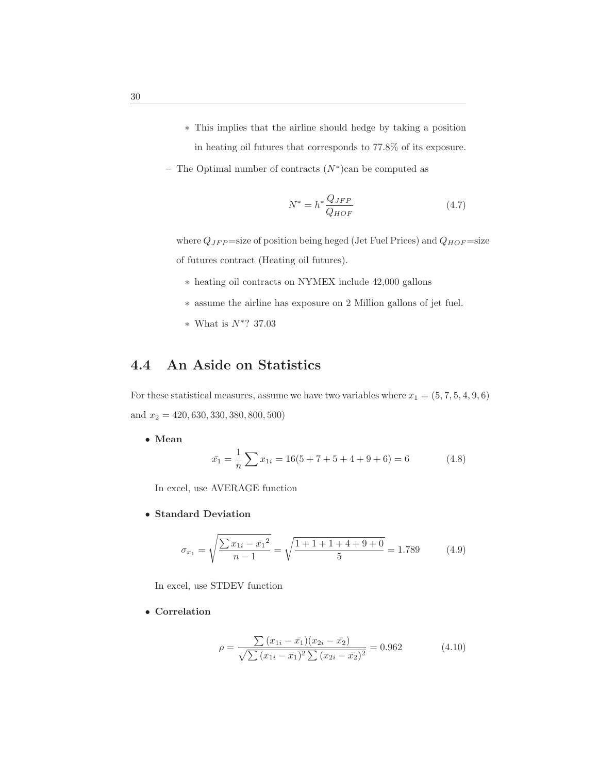- ∗ This implies that the airline should hedge by taking a position in heating oil futures that corresponds to 77.8% of its exposure.
- **–** The Optimal number of contracts (N∗)can be computed as

$$
N^* = h^* \frac{Q_{JFP}}{Q_{HOF}} \tag{4.7}
$$

where  $Q_{JFP}$  =size of position being heged (Jet Fuel Prices) and  $Q_{HOF}$  =size of futures contract (Heating oil futures).

- ∗ heating oil contracts on NYMEX include 42,000 gallons
- ∗ assume the airline has exposure on 2 Million gallons of jet fuel.
- <sup>∗</sup> What is <sup>N</sup>∗? 37.03

## **4.4 An Aside on Statistics**

For these statistical measures, assume we have two variables where  $x_1 = (5, 7, 5, 4, 9, 6)$ and  $x_2 = 420, 630, 330, 380, 800, 500)$ 

• **Mean**

$$
\bar{x_1} = \frac{1}{n} \sum x_{1i} = 16(5 + 7 + 5 + 4 + 9 + 6) = 6
$$
 (4.8)

In excel, use AVERAGE function

• **Standard Deviation**

$$
\sigma_{x_1} = \sqrt{\frac{\sum x_{1i} - \bar{x_1}^2}{n - 1}} = \sqrt{\frac{1 + 1 + 1 + 4 + 9 + 0}{5}} = 1.789 \tag{4.9}
$$

In excel, use STDEV function

• **Correlation**

$$
\rho = \frac{\sum (x_{1i} - \bar{x_1})(x_{2i} - \bar{x_2})}{\sqrt{\sum (x_{1i} - \bar{x_1})^2 \sum (x_{2i} - \bar{x_2})^2}} = 0.962
$$
\n(4.10)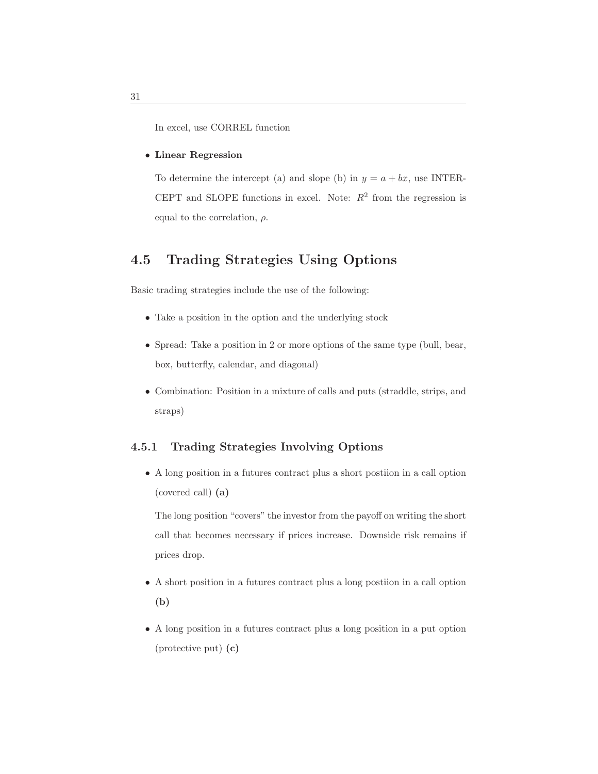In excel, use CORREL function

#### • **Linear Regression**

To determine the intercept (a) and slope (b) in  $y = a + bx$ , use INTER-CEPT and SLOPE functions in excel. Note:  $R^2$  from the regression is equal to the correlation,  $\rho$ .

## **4.5 Trading Strategies Using Options**

Basic trading strategies include the use of the following:

- Take a position in the option and the underlying stock
- Spread: Take a position in 2 or more options of the same type (bull, bear, box, butterfly, calendar, and diagonal)
- Combination: Position in a mixture of calls and puts (straddle, strips, and straps)

## **4.5.1 Trading Strategies Involving Options**

• A long position in a futures contract plus a short postiion in a call option (covered call) **(a)**

The long position "covers" the investor from the payoff on writing the short call that becomes necessary if prices increase. Downside risk remains if prices drop.

- A short position in a futures contract plus a long postiion in a call option **(b)**
- A long position in a futures contract plus a long position in a put option (protective put) **(c)**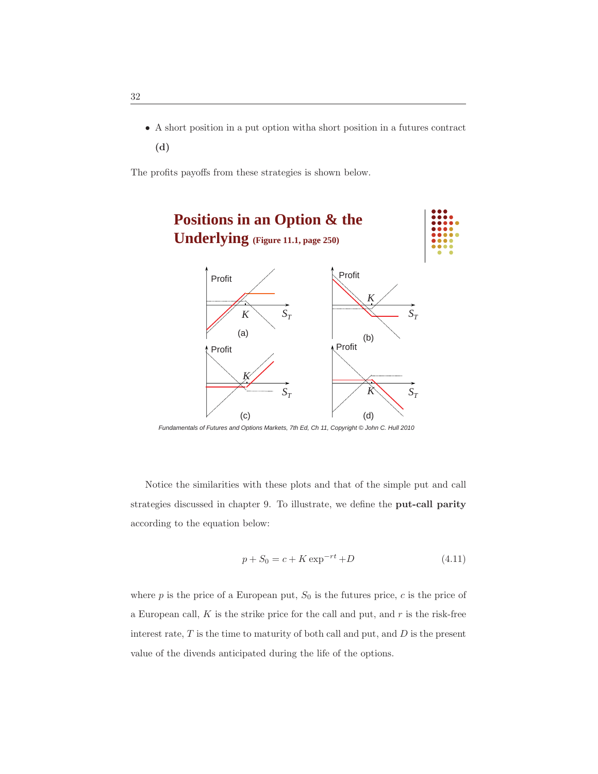• A short position in a put option witha short position in a futures contract **(d)**

The profits payoffs from these strategies is shown below.



*Fundamentals of Futures and Options Markets, 7th Ed, Ch 11, Copyright © John C. Hull 2010*

Notice the similarities with these plots and that of the simple put and call strategies discussed in chapter 9. To illustrate, we define the **put-call parity** according to the equation below:

$$
p + S_0 = c + K \exp^{-rt} + D \tag{4.11}
$$

where  $p$  is the price of a European put,  $S_0$  is the futures price,  $c$  is the price of a European call,  $K$  is the strike price for the call and put, and  $r$  is the risk-free interest rate,  $T$  is the time to maturity of both call and put, and  $D$  is the present value of the divends anticipated during the life of the options.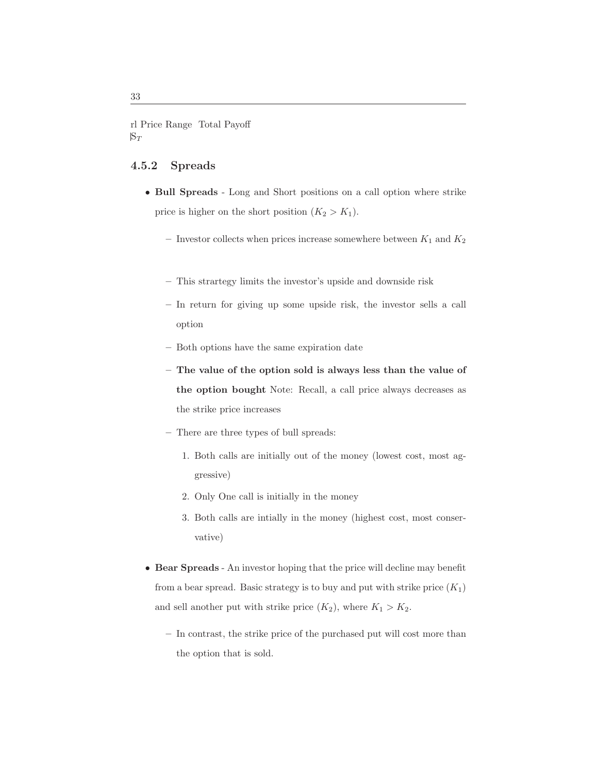rl Price Range Total Payoff  $S_T$ 

## **4.5.2 Spreads**

- **Bull Spreads** Long and Short positions on a call option where strike price is higher on the short position  $(K_2 > K_1)$ .
	- Investor collects when prices increase somewhere between  $K_1$  and  $K_2$
	- **–** This strartegy limits the investor's upside and downside risk
	- **–** In return for giving up some upside risk, the investor sells a call option
	- **–** Both options have the same expiration date
	- **The value of the option sold is always less than the value of the option bought** Note: Recall, a call price always decreases as the strike price increases
	- **–** There are three types of bull spreads:
		- 1. Both calls are initially out of the money (lowest cost, most aggressive)
		- 2. Only One call is initially in the money
		- 3. Both calls are intially in the money (highest cost, most conservative)
- **Bear Spreads** An investor hoping that the price will decline may benefit from a bear spread. Basic strategy is to buy and put with strike price  $(K_1)$ and sell another put with strike price  $(K_2)$ , where  $K_1 > K_2$ .
	- **–** In contrast, the strike price of the purchased put will cost more than the option that is sold.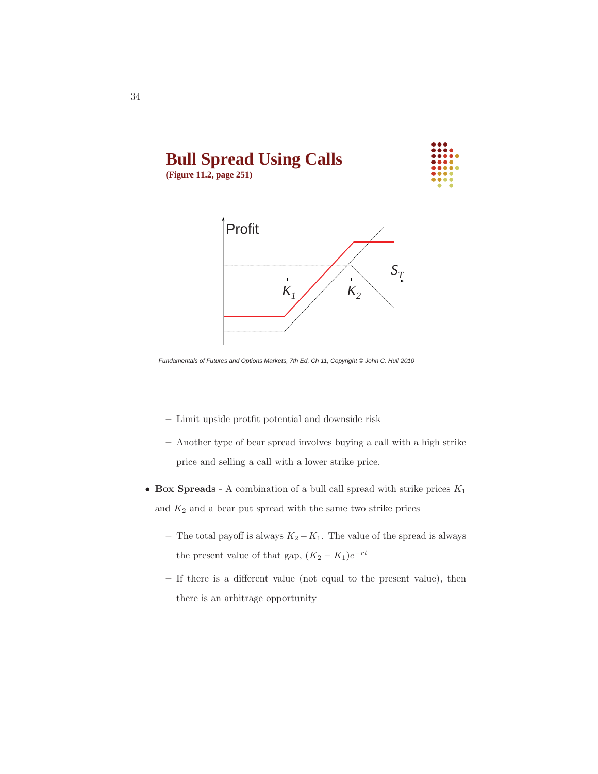

*Fundamentals of Futures and Options Markets, 7th Ed, Ch 11, Copyright © John C. Hull 2010*

- **–** Limit upside protfit potential and downside risk
- **–** Another type of bear spread involves buying a call with a high strike price and selling a call with a lower strike price.
- **Box Spreads** A combination of a bull call spread with strike prices  $K_1$ and  $K_2$  and a bear put spread with the same two strike prices
	- − The total payoff is always  $K_2 K_1$ . The value of the spread is always the present value of that gap,  $(K_2 - K_1)e^{-rt}$
	- **–** If there is a different value (not equal to the present value), then there is an arbitrage opportunity